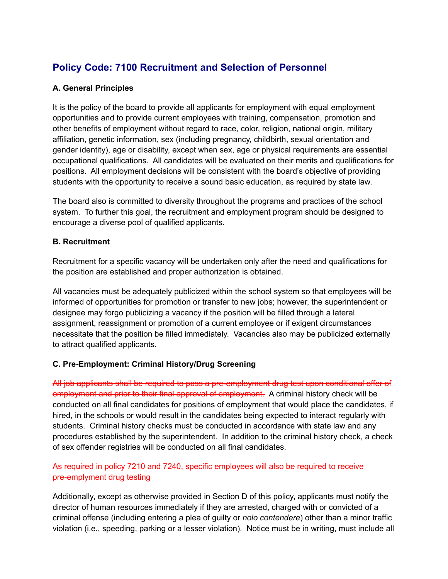# **Policy Code: 7100 Recruitment and Selection of Personnel**

## **A. General Principles**

It is the policy of the board to provide all applicants for employment with equal employment opportunities and to provide current employees with training, compensation, promotion and other benefits of employment without regard to race, color, religion, national origin, military affiliation, genetic information, sex (including pregnancy, childbirth, sexual orientation and gender identity), age or disability, except when sex, age or physical requirements are essential occupational qualifications. All candidates will be evaluated on their merits and qualifications for positions. All employment decisions will be consistent with the board's objective of providing students with the opportunity to receive a sound basic education, as required by state law.

The board also is committed to diversity throughout the programs and practices of the school system. To further this goal, the recruitment and employment program should be designed to encourage a diverse pool of qualified applicants.

### **B. Recruitment**

Recruitment for a specific vacancy will be undertaken only after the need and qualifications for the position are established and proper authorization is obtained.

All vacancies must be adequately publicized within the school system so that employees will be informed of opportunities for promotion or transfer to new jobs; however, the superintendent or designee may forgo publicizing a vacancy if the position will be filled through a lateral assignment, reassignment or promotion of a current employee or if exigent circumstances necessitate that the position be filled immediately. Vacancies also may be publicized externally to attract qualified applicants.

## **C. Pre-Employment: Criminal History/Drug Screening**

All job applicants shall be required to pass a pre-employment drug test upon conditional offer of employment and prior to their final approval of employment. A criminal history check will be conducted on all final candidates for positions of employment that would place the candidates, if hired, in the schools or would result in the candidates being expected to interact regularly with students. Criminal history checks must be conducted in accordance with state law and any procedures established by the superintendent. In addition to the criminal history check, a check of sex offender registries will be conducted on all final candidates.

## As required in policy 7210 and 7240, specific employees will also be required to receive pre-emplyment drug testing

Additionally, except as otherwise provided in Section D of this policy, applicants must notify the director of human resources immediately if they are arrested, charged with or convicted of a criminal offense (including entering a plea of guilty or *nolo contendere*) other than a minor traffic violation (i.e., speeding, parking or a lesser violation). Notice must be in writing, must include all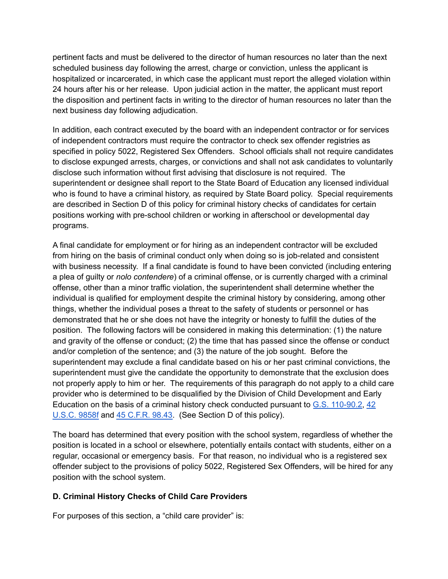pertinent facts and must be delivered to the director of human resources no later than the next scheduled business day following the arrest, charge or conviction, unless the applicant is hospitalized or incarcerated, in which case the applicant must report the alleged violation within 24 hours after his or her release. Upon judicial action in the matter, the applicant must report the disposition and pertinent facts in writing to the director of human resources no later than the next business day following adjudication.

In addition, each contract executed by the board with an independent contractor or for services of independent contractors must require the contractor to check sex offender registries as specified in policy 5022, Registered Sex Offenders. School officials shall not require candidates to disclose expunged arrests, charges, or convictions and shall not ask candidates to voluntarily disclose such information without first advising that disclosure is not required. The superintendent or designee shall report to the State Board of Education any licensed individual who is found to have a criminal history, as required by State Board policy. Special requirements are described in Section D of this policy for criminal history checks of candidates for certain positions working with pre-school children or working in afterschool or developmental day programs.

A final candidate for employment or for hiring as an independent contractor will be excluded from hiring on the basis of criminal conduct only when doing so is job-related and consistent with business necessity. If a final candidate is found to have been convicted (including entering a plea of guilty or *nolo contendere*) of a criminal offense, or is currently charged with a criminal offense, other than a minor traffic violation, the superintendent shall determine whether the individual is qualified for employment despite the criminal history by considering, among other things, whether the individual poses a threat to the safety of students or personnel or has demonstrated that he or she does not have the integrity or honesty to fulfill the duties of the position. The following factors will be considered in making this determination: (1) the nature and gravity of the offense or conduct; (2) the time that has passed since the offense or conduct and/or completion of the sentence; and (3) the nature of the job sought. Before the superintendent may exclude a final candidate based on his or her past criminal convictions, the superintendent must give the candidate the opportunity to demonstrate that the exclusion does not properly apply to him or her. The requirements of this paragraph do not apply to a child care provider who is determined to be disqualified by the Division of Child Development and Early Education on the basis of a criminal history check conducted pursuant to G.S. [110-90.2](http://redirector.microscribepub.com/?cat=stat&loc=nc&id=110&spec=90.2), [42](http://redirector.microscribepub.com/?cat=usc&loc=us&id=42-9858f&) [U.S.C.](http://redirector.microscribepub.com/?cat=usc&loc=us&id=42-9858f&) 9858f and 45 [C.F.R.](http://redirector.microscribepub.com/?cat=cfr&loc=US&id=45&spec=98.43) 98.43. (See Section D of this policy).

The board has determined that every position with the school system, regardless of whether the position is located in a school or elsewhere, potentially entails contact with students, either on a regular, occasional or emergency basis. For that reason, no individual who is a registered sex offender subject to the provisions of policy 5022, Registered Sex Offenders, will be hired for any position with the school system.

### **D. Criminal History Checks of Child Care Providers**

For purposes of this section, a "child care provider" is: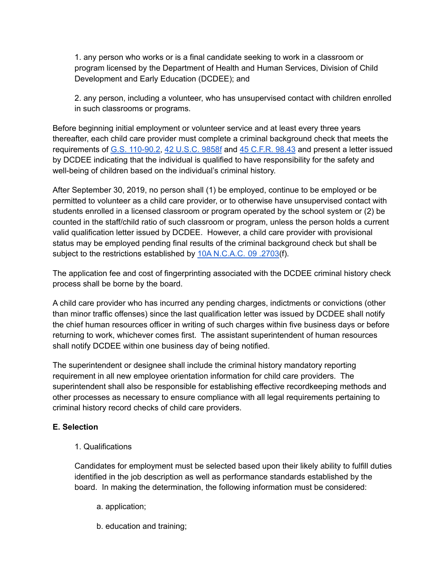1. any person who works or is a final candidate seeking to work in a classroom or program licensed by the Department of Health and Human Services, Division of Child Development and Early Education (DCDEE); and

2. any person, including a volunteer, who has unsupervised contact with children enrolled in such classrooms or programs.

Before beginning initial employment or volunteer service and at least every three years thereafter, each child care provider must complete a criminal background check that meets the requirements of G.S. [110-90.2](http://redirector.microscribepub.com/?cat=stat&loc=nc&id=110&spec=90.2), 42 [U.S.C.](http://redirector.microscribepub.com/?cat=usc&loc=us&id=42-9858f&) 9858f and 45 [C.F.R.](http://redirector.microscribepub.com/?cat=cfr&loc=US&id=45&spec=98.43) 98.43 and present a letter issued by DCDEE indicating that the individual is qualified to have responsibility for the safety and well-being of children based on the individual's criminal history.

After September 30, 2019, no person shall (1) be employed, continue to be employed or be permitted to volunteer as a child care provider, or to otherwise have unsupervised contact with students enrolled in a licensed classroom or program operated by the school system or (2) be counted in the staff/child ratio of such classroom or program, unless the person holds a current valid qualification letter issued by DCDEE. However, a child care provider with provisional status may be employed pending final results of the criminal background check but shall be subject to the restrictions established by 10A [N.C.A.C.](http://redirector.microscribepub.com/?cat=code&loc=nc&id=10a&spec=09.2703) 09 .2703(f).

The application fee and cost of fingerprinting associated with the DCDEE criminal history check process shall be borne by the board.

A child care provider who has incurred any pending charges, indictments or convictions (other than minor traffic offenses) since the last qualification letter was issued by DCDEE shall notify the chief human resources officer in writing of such charges within five business days or before returning to work, whichever comes first. The assistant superintendent of human resources shall notify DCDEE within one business day of being notified.

The superintendent or designee shall include the criminal history mandatory reporting requirement in all new employee orientation information for child care providers. The superintendent shall also be responsible for establishing effective recordkeeping methods and other processes as necessary to ensure compliance with all legal requirements pertaining to criminal history record checks of child care providers.

### **E. Selection**

1. Qualifications

Candidates for employment must be selected based upon their likely ability to fulfill duties identified in the job description as well as performance standards established by the board. In making the determination, the following information must be considered:

- a. application;
- b. education and training;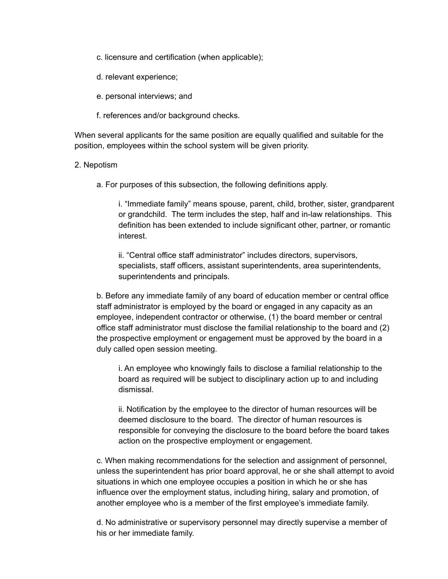c. licensure and certification (when applicable);

d. relevant experience;

e. personal interviews; and

f. references and/or background checks.

When several applicants for the same position are equally qualified and suitable for the position, employees within the school system will be given priority.

#### 2. Nepotism

a. For purposes of this subsection, the following definitions apply.

i. "Immediate family" means spouse, parent, child, brother, sister, grandparent or grandchild. The term includes the step, half and in-law relationships. This definition has been extended to include significant other, partner, or romantic interest.

ii. "Central office staff administrator" includes directors, supervisors, specialists, staff officers, assistant superintendents, area superintendents, superintendents and principals.

b. Before any immediate family of any board of education member or central office staff administrator is employed by the board or engaged in any capacity as an employee, independent contractor or otherwise, (1) the board member or central office staff administrator must disclose the familial relationship to the board and (2) the prospective employment or engagement must be approved by the board in a duly called open session meeting.

i. An employee who knowingly fails to disclose a familial relationship to the board as required will be subject to disciplinary action up to and including dismissal.

ii. Notification by the employee to the director of human resources will be deemed disclosure to the board. The director of human resources is responsible for conveying the disclosure to the board before the board takes action on the prospective employment or engagement.

c. When making recommendations for the selection and assignment of personnel, unless the superintendent has prior board approval, he or she shall attempt to avoid situations in which one employee occupies a position in which he or she has influence over the employment status, including hiring, salary and promotion, of another employee who is a member of the first employee's immediate family.

d. No administrative or supervisory personnel may directly supervise a member of his or her immediate family.